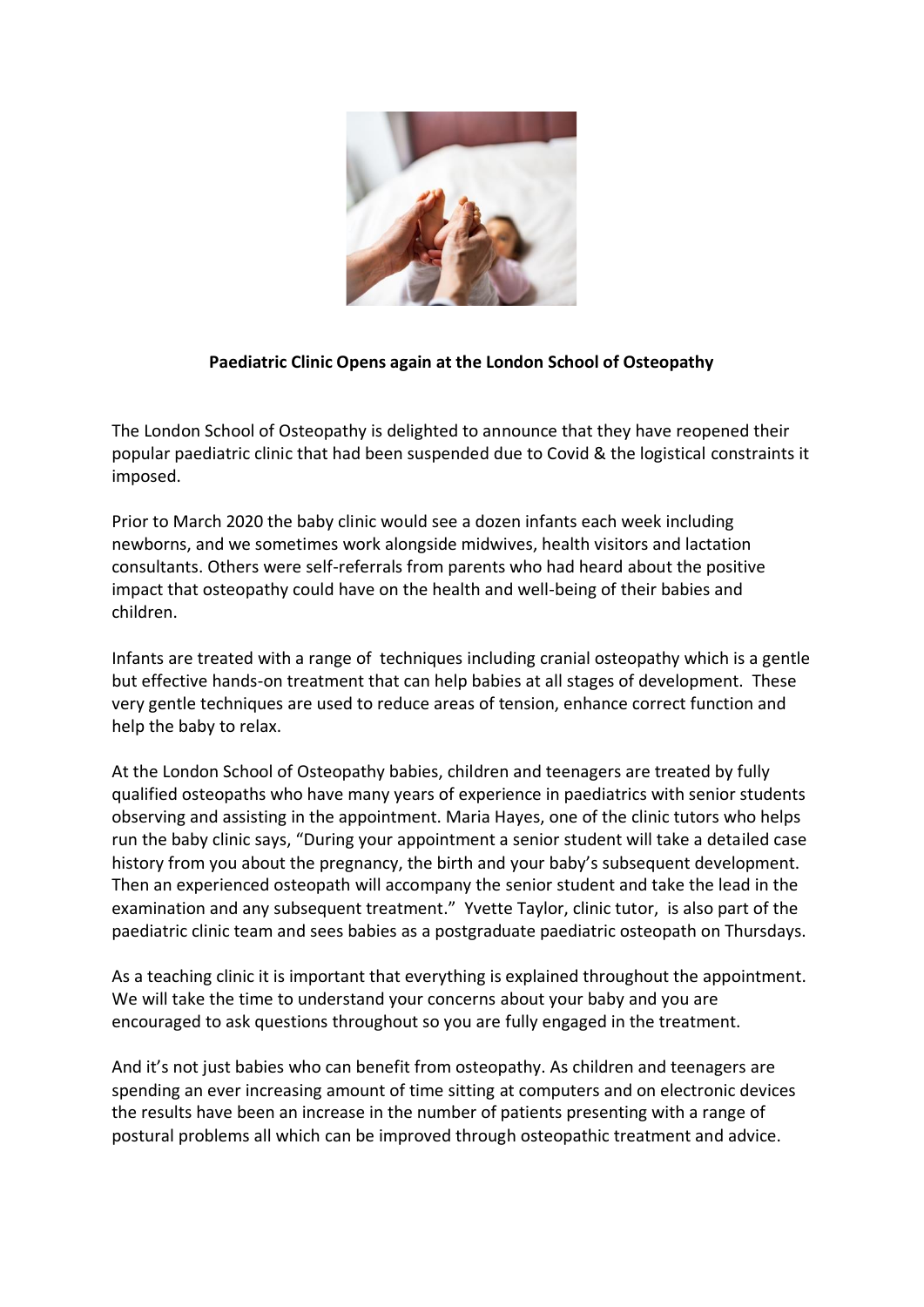

## **Paediatric Clinic Opens again at the London School of Osteopathy**

The London School of Osteopathy is delighted to announce that they have reopened their popular paediatric clinic that had been suspended due to Covid & the logistical constraints it imposed.

Prior to March 2020 the baby clinic would see a dozen infants each week including newborns, and we sometimes work alongside midwives, health visitors and lactation consultants. Others were self-referrals from parents who had heard about the positive impact that osteopathy could have on the health and well-being of their babies and children.

Infants are treated with a range of techniques including cranial osteopathy which is a gentle but effective hands-on treatment that can help babies at all stages of development. These very gentle techniques are used to reduce areas of tension, enhance correct function and help the baby to relax.

At the London School of Osteopathy babies, children and teenagers are treated by fully qualified osteopaths who have many years of experience in paediatrics with senior students observing and assisting in the appointment. Maria Hayes, one of the clinic tutors who helps run the baby clinic says, "During your appointment a senior student will take a detailed case history from you about the pregnancy, the birth and your baby's subsequent development. Then an experienced osteopath will accompany the senior student and take the lead in the examination and any subsequent treatment." Yvette Taylor, clinic tutor, is also part of the paediatric clinic team and sees babies as a postgraduate paediatric osteopath on Thursdays.

As a teaching clinic it is important that everything is explained throughout the appointment. We will take the time to understand your concerns about your baby and you are encouraged to ask questions throughout so you are fully engaged in the treatment.

And it's not just babies who can benefit from osteopathy. As children and teenagers are spending an ever increasing amount of time sitting at computers and on electronic devices the results have been an increase in the number of patients presenting with a range of postural problems all which can be improved through osteopathic treatment and advice.